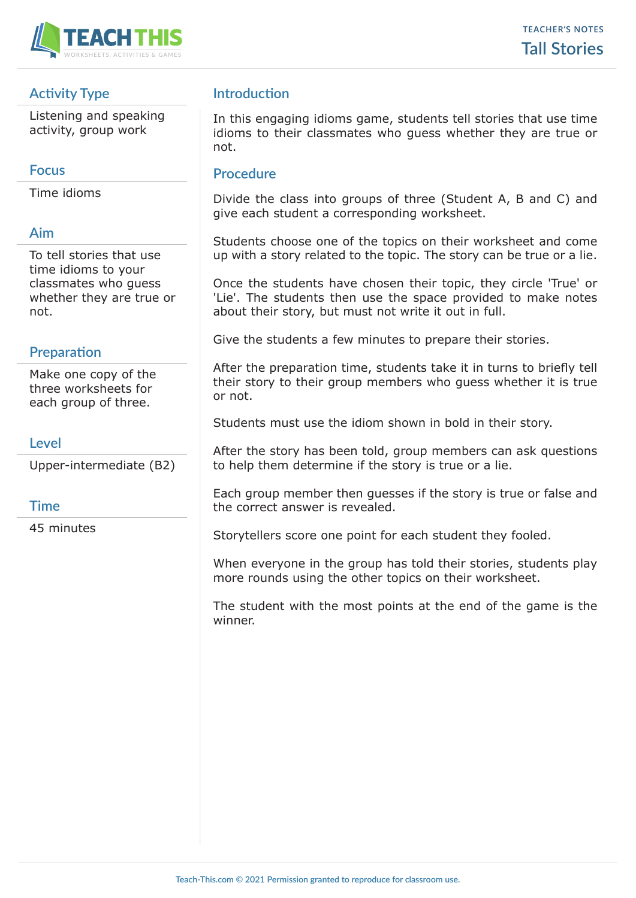

# **Activity Type**

Listening and speaking activity, group work

## **Focus**

Time idioms

# **Aim**

To tell stories that use time idioms to your classmates who guess whether they are true or not.

# **Preparation**

Make one copy of the three worksheets for each group of three.

## **Level**

Upper-intermediate (B2)

### **Time**

45 minutes

# **Introduction**

In this engaging idioms game, students tell stories that use time idioms to their classmates who guess whether they are true or not.

## **Procedure**

Divide the class into groups of three (Student A, B and C) and give each student a corresponding worksheet.

Students choose one of the topics on their worksheet and come up with a story related to the topic. The story can be true or a lie.

Once the students have chosen their topic, they circle 'True' or 'Lie'. The students then use the space provided to make notes about their story, but must not write it out in full.

Give the students a few minutes to prepare their stories.

After the preparation time, students take it in turns to briefly tell their story to their group members who guess whether it is true or not.

Students must use the idiom shown in bold in their story.

After the story has been told, group members can ask questions to help them determine if the story is true or a lie.

Each group member then guesses if the story is true or false and the correct answer is revealed.

Storytellers score one point for each student they fooled.

When everyone in the group has told their stories, students play more rounds using the other topics on their worksheet.

The student with the most points at the end of the game is the winner.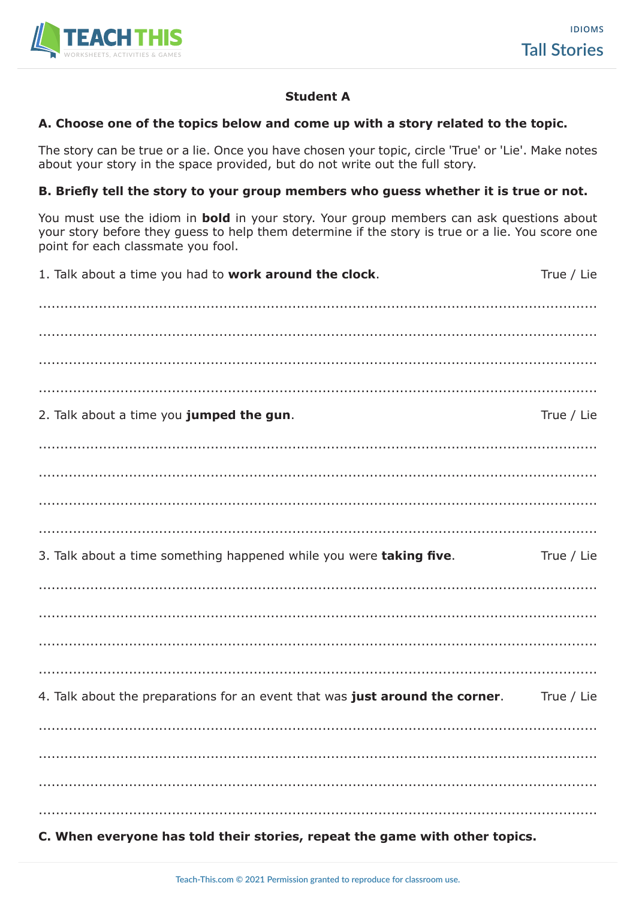

### **Student A**

#### A. Choose one of the topics below and come up with a story related to the topic.

The story can be true or a lie. Once you have chosen your topic, circle 'True' or 'Lie'. Make notes about your story in the space provided, but do not write out the full story.

#### B. Briefly tell the story to your group members who guess whether it is true or not.

You must use the idiom in **bold** in your story. Your group members can ask questions about your story before they guess to help them determine if the story is true or a lie. You score one point for each classmate you fool.

| C. When everyone has told their stories, repeat the game with other topics.  |            |
|------------------------------------------------------------------------------|------------|
|                                                                              |            |
|                                                                              |            |
|                                                                              |            |
| 4. Talk about the preparations for an event that was just around the corner. | True / Lie |
|                                                                              |            |
|                                                                              |            |
|                                                                              |            |
|                                                                              |            |
| 3. Talk about a time something happened while you were taking five.          | True / Lie |
|                                                                              |            |
|                                                                              |            |
|                                                                              |            |
|                                                                              |            |
| 2. Talk about a time you jumped the gun.                                     | True / Lie |
|                                                                              |            |
|                                                                              |            |
|                                                                              |            |
|                                                                              |            |
| 1. Talk about a time you had to <b>work around the clock</b> .               | True / Lie |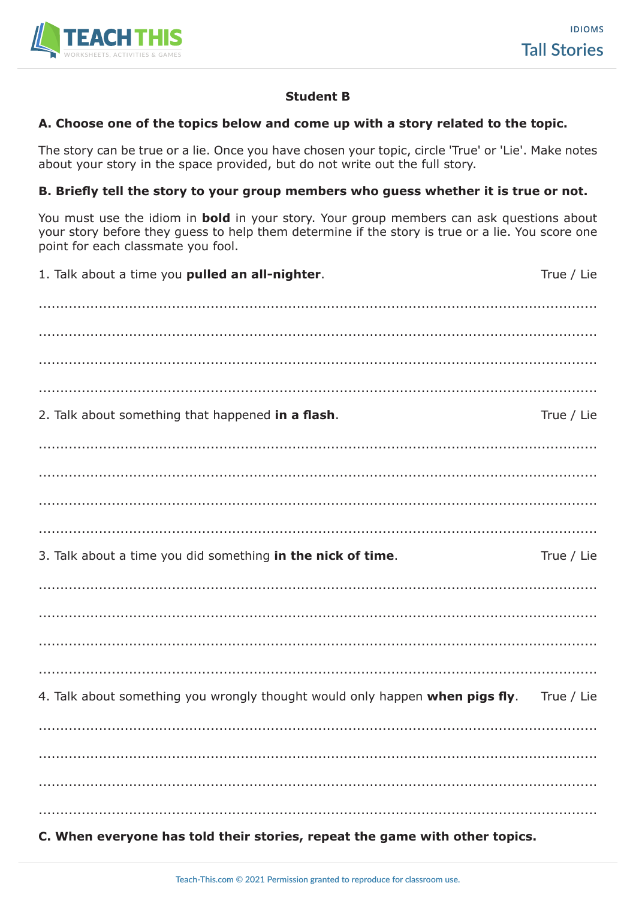

### **Student B**

#### A. Choose one of the topics below and come up with a story related to the topic.

The story can be true or a lie. Once you have chosen your topic, circle 'True' or 'Lie'. Make notes about your story in the space provided, but do not write out the full story.

#### B. Briefly tell the story to your group members who guess whether it is true or not.

You must use the idiom in **bold** in your story. Your group members can ask questions about your story before they guess to help them determine if the story is true or a lie. You score one point for each classmate you fool.

| 1. Talk about a time you pulled an all-nighter.                              | True / Lie |
|------------------------------------------------------------------------------|------------|
|                                                                              |            |
|                                                                              |            |
|                                                                              |            |
|                                                                              |            |
| 2. Talk about something that happened in a flash.                            | True / Lie |
|                                                                              |            |
|                                                                              |            |
|                                                                              |            |
|                                                                              |            |
| 3. Talk about a time you did something in the nick of time.                  | True / Lie |
|                                                                              |            |
|                                                                              |            |
|                                                                              |            |
|                                                                              |            |
| 4. Talk about something you wrongly thought would only happen when pigs fly. | True / Lie |
|                                                                              |            |
|                                                                              |            |
|                                                                              |            |
|                                                                              |            |
| C. When everyone has told their stories, repeat the game with other topics.  |            |